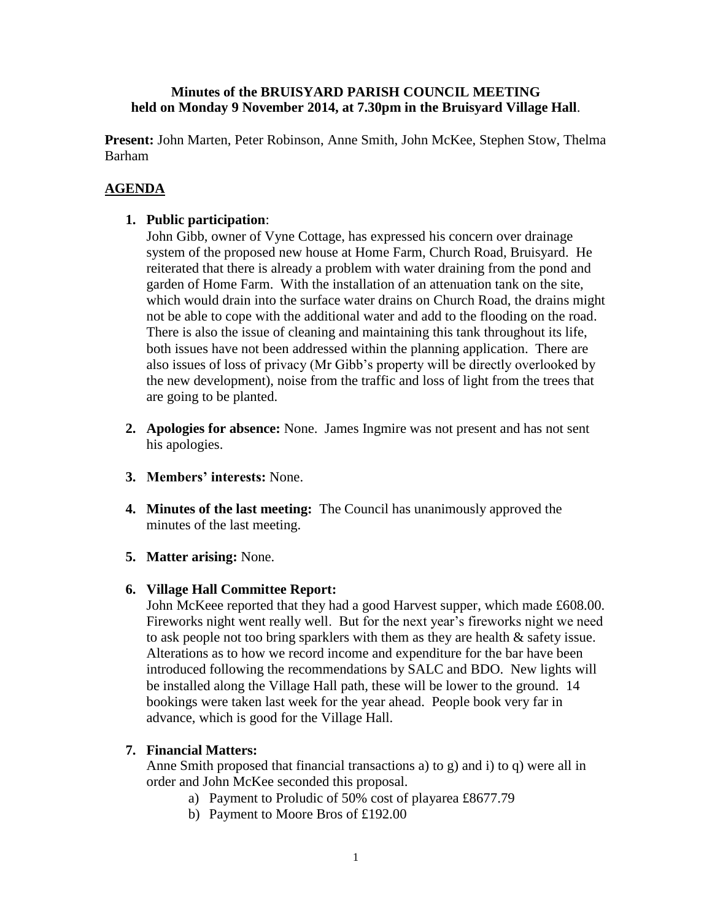## **Minutes of the BRUISYARD PARISH COUNCIL MEETING held on Monday 9 November 2014, at 7.30pm in the Bruisyard Village Hall**.

**Present:** John Marten, Peter Robinson, Anne Smith, John McKee, Stephen Stow, Thelma Barham

# **AGENDA**

# **1. Public participation**:

John Gibb, owner of Vyne Cottage, has expressed his concern over drainage system of the proposed new house at Home Farm, Church Road, Bruisyard. He reiterated that there is already a problem with water draining from the pond and garden of Home Farm. With the installation of an attenuation tank on the site, which would drain into the surface water drains on Church Road, the drains might not be able to cope with the additional water and add to the flooding on the road. There is also the issue of cleaning and maintaining this tank throughout its life, both issues have not been addressed within the planning application. There are also issues of loss of privacy (Mr Gibb's property will be directly overlooked by the new development), noise from the traffic and loss of light from the trees that are going to be planted.

- **2. Apologies for absence:** None. James Ingmire was not present and has not sent his apologies.
- **3. Members' interests:** None.
- **4. Minutes of the last meeting:** The Council has unanimously approved the minutes of the last meeting.
- **5. Matter arising:** None.

# **6. Village Hall Committee Report:**

John McKeee reported that they had a good Harvest supper, which made £608.00. Fireworks night went really well. But for the next year's fireworks night we need to ask people not too bring sparklers with them as they are health & safety issue. Alterations as to how we record income and expenditure for the bar have been introduced following the recommendations by SALC and BDO. New lights will be installed along the Village Hall path, these will be lower to the ground. 14 bookings were taken last week for the year ahead. People book very far in advance, which is good for the Village Hall.

# **7. Financial Matters:**

Anne Smith proposed that financial transactions a) to g) and i) to q) were all in order and John McKee seconded this proposal.

- a) Payment to Proludic of 50% cost of playarea £8677.79
- b) Payment to Moore Bros of £192.00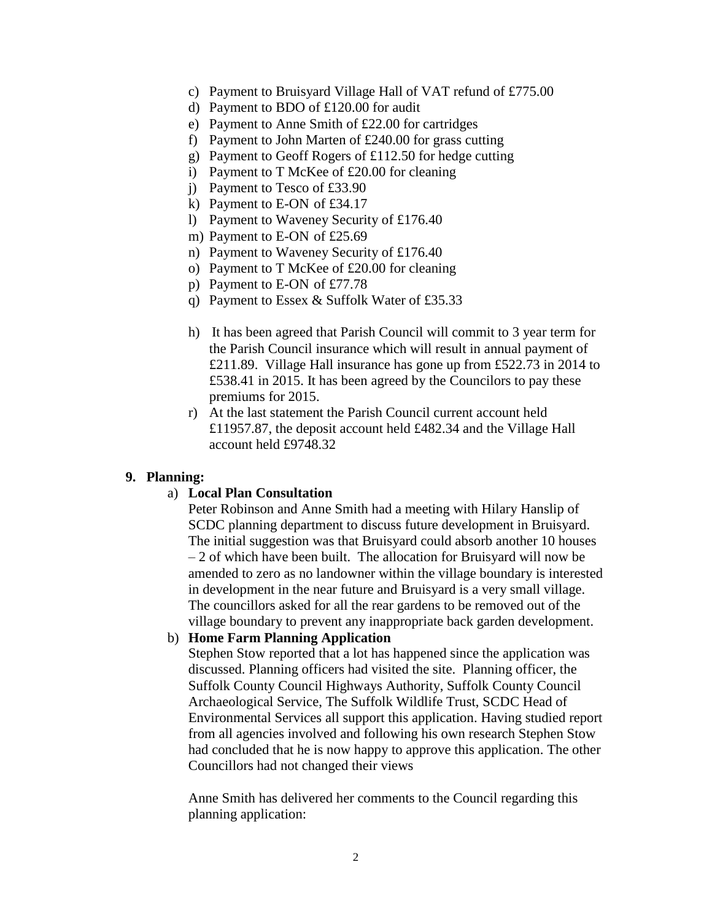- c) Payment to Bruisyard Village Hall of VAT refund of £775.00
- d) Payment to BDO of £120.00 for audit
- e) Payment to Anne Smith of £22.00 for cartridges
- f) Payment to John Marten of £240.00 for grass cutting
- g) Payment to Geoff Rogers of £112.50 for hedge cutting
- i) Payment to T McKee of £20.00 for cleaning
- j) Payment to Tesco of £33.90
- k) Payment to E-ON of £34.17
- l) Payment to Waveney Security of £176.40
- m) Payment to E-ON of £25.69
- n) Payment to Waveney Security of £176.40
- o) Payment to T McKee of £20.00 for cleaning
- p) Payment to E-ON of £77.78
- q) Payment to Essex & Suffolk Water of £35.33
- h) It has been agreed that Parish Council will commit to 3 year term for the Parish Council insurance which will result in annual payment of £211.89. Village Hall insurance has gone up from £522.73 in 2014 to £538.41 in 2015. It has been agreed by the Councilors to pay these premiums for 2015.
- r) At the last statement the Parish Council current account held £11957.87, the deposit account held £482.34 and the Village Hall account held £9748.32

### **9. Planning:**

#### a) **Local Plan Consultation**

Peter Robinson and Anne Smith had a meeting with Hilary Hanslip of SCDC planning department to discuss future development in Bruisyard. The initial suggestion was that Bruisyard could absorb another 10 houses – 2 of which have been built. The allocation for Bruisyard will now be amended to zero as no landowner within the village boundary is interested in development in the near future and Bruisyard is a very small village. The councillors asked for all the rear gardens to be removed out of the village boundary to prevent any inappropriate back garden development.

### b) **Home Farm Planning Application**

Stephen Stow reported that a lot has happened since the application was discussed. Planning officers had visited the site. Planning officer, the Suffolk County Council Highways Authority, Suffolk County Council Archaeological Service, The Suffolk Wildlife Trust, SCDC Head of Environmental Services all support this application. Having studied report from all agencies involved and following his own research Stephen Stow had concluded that he is now happy to approve this application. The other Councillors had not changed their views

Anne Smith has delivered her comments to the Council regarding this planning application: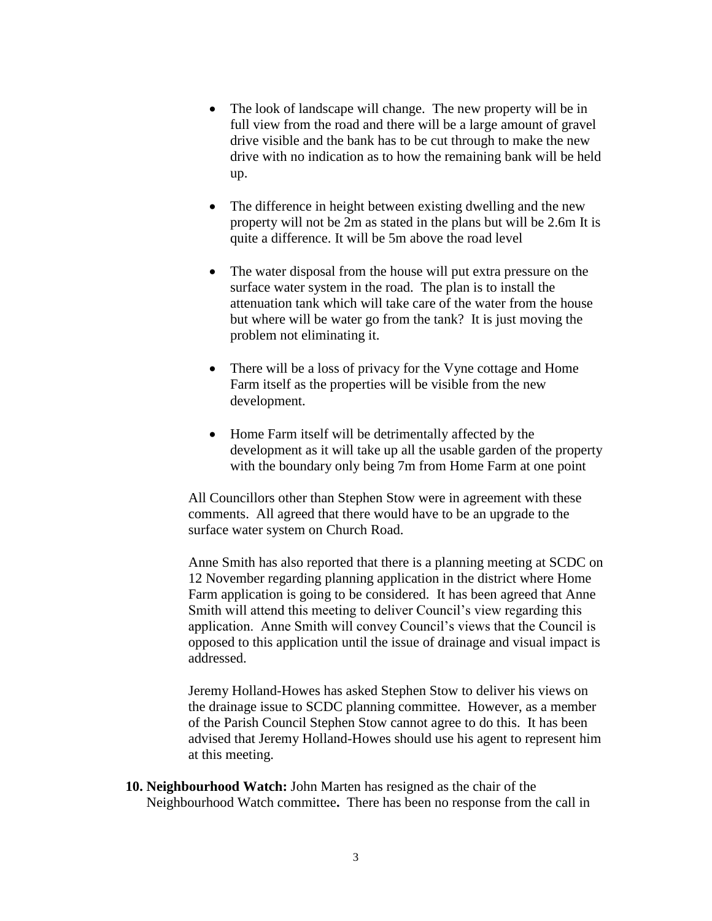- The look of landscape will change. The new property will be in full view from the road and there will be a large amount of gravel drive visible and the bank has to be cut through to make the new drive with no indication as to how the remaining bank will be held up.
- The difference in height between existing dwelling and the new property will not be 2m as stated in the plans but will be 2.6m It is quite a difference. It will be 5m above the road level
- The water disposal from the house will put extra pressure on the surface water system in the road. The plan is to install the attenuation tank which will take care of the water from the house but where will be water go from the tank? It is just moving the problem not eliminating it.
- There will be a loss of privacy for the Vyne cottage and Home Farm itself as the properties will be visible from the new development.
- Home Farm itself will be detrimentally affected by the development as it will take up all the usable garden of the property with the boundary only being 7m from Home Farm at one point

All Councillors other than Stephen Stow were in agreement with these comments. All agreed that there would have to be an upgrade to the surface water system on Church Road.

Anne Smith has also reported that there is a planning meeting at SCDC on 12 November regarding planning application in the district where Home Farm application is going to be considered. It has been agreed that Anne Smith will attend this meeting to deliver Council's view regarding this application. Anne Smith will convey Council's views that the Council is opposed to this application until the issue of drainage and visual impact is addressed.

Jeremy Holland-Howes has asked Stephen Stow to deliver his views on the drainage issue to SCDC planning committee. However, as a member of the Parish Council Stephen Stow cannot agree to do this. It has been advised that Jeremy Holland-Howes should use his agent to represent him at this meeting.

**10. Neighbourhood Watch:** John Marten has resigned as the chair of the Neighbourhood Watch committee**.** There has been no response from the call in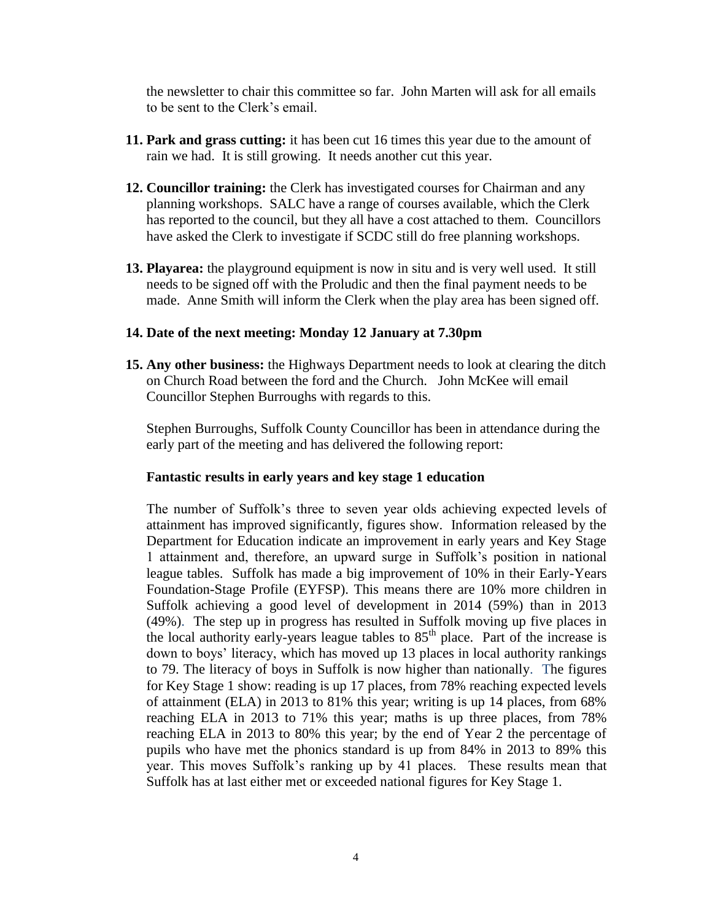the newsletter to chair this committee so far. John Marten will ask for all emails to be sent to the Clerk's email.

- **11. Park and grass cutting:** it has been cut 16 times this year due to the amount of rain we had. It is still growing. It needs another cut this year.
- **12. Councillor training:** the Clerk has investigated courses for Chairman and any planning workshops. SALC have a range of courses available, which the Clerk has reported to the council, but they all have a cost attached to them. Councillors have asked the Clerk to investigate if SCDC still do free planning workshops.
- **13. Playarea:** the playground equipment is now in situ and is very well used. It still needs to be signed off with the Proludic and then the final payment needs to be made. Anne Smith will inform the Clerk when the play area has been signed off.

### **14. Date of the next meeting: Monday 12 January at 7.30pm**

**15. Any other business:** the Highways Department needs to look at clearing the ditch on Church Road between the ford and the Church. John McKee will email Councillor Stephen Burroughs with regards to this.

Stephen Burroughs, Suffolk County Councillor has been in attendance during the early part of the meeting and has delivered the following report:

### **Fantastic results in early years and key stage 1 education**

The number of Suffolk's three to seven year olds achieving expected levels of attainment has improved significantly, figures show. Information released by the Department for Education indicate an improvement in early years and Key Stage 1 attainment and, therefore, an upward surge in Suffolk's position in national league tables. Suffolk has made a big improvement of 10% in their Early-Years Foundation-Stage Profile (EYFSP). This means there are 10% more children in Suffolk achieving a good level of development in 2014 (59%) than in 2013 (49%). The step up in progress has resulted in Suffolk moving up five places in the local authority early-years league tables to  $85<sup>th</sup>$  place. Part of the increase is down to boys' literacy, which has moved up 13 places in local authority rankings to 79. The literacy of boys in Suffolk is now higher than nationally. The figures for Key Stage 1 show: reading is up 17 places, from 78% reaching expected levels of attainment (ELA) in 2013 to 81% this year; writing is up 14 places, from 68% reaching ELA in 2013 to 71% this year; maths is up three places, from 78% reaching ELA in 2013 to 80% this year; by the end of Year 2 the percentage of pupils who have met the phonics standard is up from 84% in 2013 to 89% this year. This moves Suffolk's ranking up by 41 places. These results mean that Suffolk has at last either met or exceeded national figures for Key Stage 1.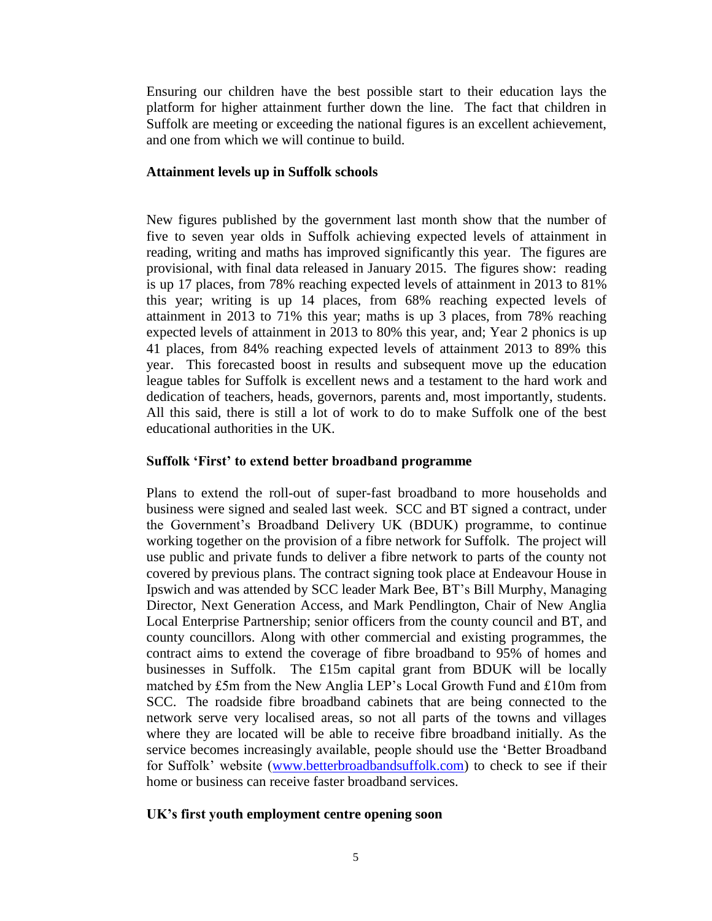Ensuring our children have the best possible start to their education lays the platform for higher attainment further down the line. The fact that children in Suffolk are meeting or exceeding the national figures is an excellent achievement, and one from which we will continue to build.

### **Attainment levels up in Suffolk schools**

New figures published by the government last month show that the number of five to seven year olds in Suffolk achieving expected levels of attainment in reading, writing and maths has improved significantly this year. The figures are provisional, with final data released in January 2015. The figures show: reading is up 17 places, from 78% reaching expected levels of attainment in 2013 to 81% this year; writing is up 14 places, from 68% reaching expected levels of attainment in 2013 to 71% this year; maths is up 3 places, from 78% reaching expected levels of attainment in 2013 to 80% this year, and; Year 2 phonics is up 41 places, from 84% reaching expected levels of attainment 2013 to 89% this year. This forecasted boost in results and subsequent move up the education league tables for Suffolk is excellent news and a testament to the hard work and dedication of teachers, heads, governors, parents and, most importantly, students. All this said, there is still a lot of work to do to make Suffolk one of the best educational authorities in the UK.

#### **Suffolk 'First' to extend better broadband programme**

Plans to extend the roll-out of super-fast broadband to more households and business were signed and sealed last week. SCC and BT signed a contract, under the Government's Broadband Delivery UK (BDUK) programme, to continue working together on the provision of a fibre network for Suffolk. The project will use public and private funds to deliver a fibre network to parts of the county not covered by previous plans. The contract signing took place at Endeavour House in Ipswich and was attended by SCC leader Mark Bee, BT's Bill Murphy, Managing Director, Next Generation Access, and Mark Pendlington, Chair of New Anglia Local Enterprise Partnership; senior officers from the county council and BT, and county councillors. Along with other commercial and existing programmes, the contract aims to extend the coverage of fibre broadband to 95% of homes and businesses in Suffolk. The £15m capital grant from BDUK will be locally matched by £5m from the New Anglia LEP's Local Growth Fund and £10m from SCC. The roadside fibre broadband cabinets that are being connected to the network serve very localised areas, so not all parts of the towns and villages where they are located will be able to receive fibre broadband initially. As the service becomes increasingly available, people should use the 'Better Broadband for Suffolk' website [\(www.betterbroadbandsuffolk.com\)](http://www.betterbroadbandsuffolk.com/) to check to see if their home or business can receive faster broadband services.

### **UK's first youth employment centre opening soon**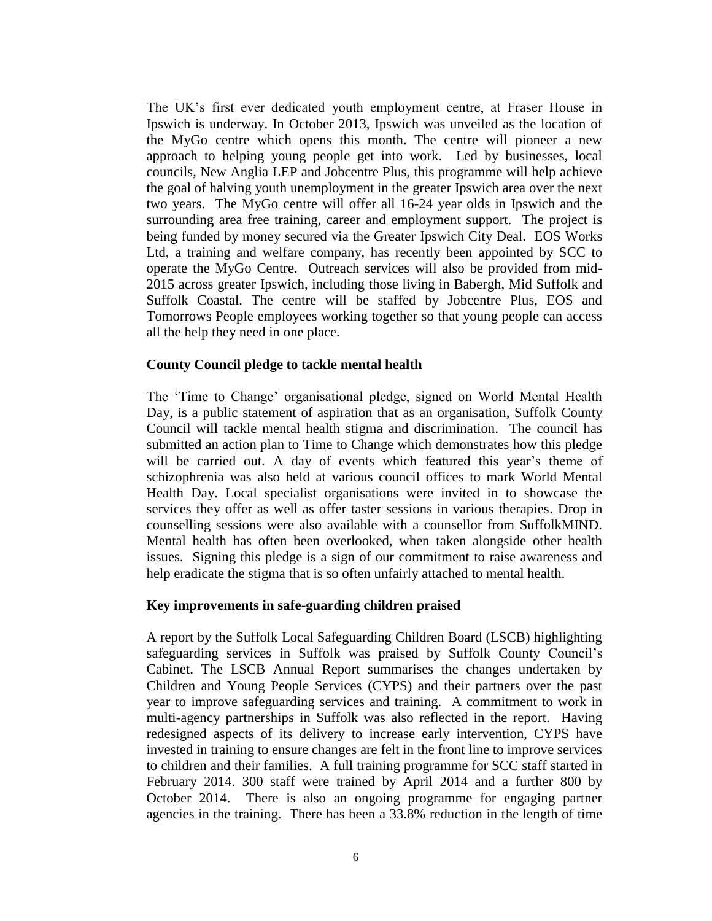The UK's first ever dedicated youth employment centre, at Fraser House in Ipswich is underway. In October 2013, Ipswich was unveiled as the location of the MyGo centre which opens this month. The centre will pioneer a new approach to helping young people get into work. Led by businesses, local councils, New Anglia LEP and Jobcentre Plus, this programme will help achieve the goal of halving youth unemployment in the greater Ipswich area over the next two years. The MyGo centre will offer all 16-24 year olds in Ipswich and the surrounding area free training, career and employment support. The project is being funded by money secured via the Greater Ipswich City Deal. EOS Works Ltd, a training and welfare company, has recently been appointed by SCC to operate the MyGo Centre. Outreach services will also be provided from mid-2015 across greater Ipswich, including those living in Babergh, Mid Suffolk and Suffolk Coastal. The centre will be staffed by Jobcentre Plus, EOS and Tomorrows People employees working together so that young people can access all the help they need in one place.

#### **County Council pledge to tackle mental health**

The 'Time to Change' organisational pledge, signed on World Mental Health Day, is a public statement of aspiration that as an organisation, Suffolk County Council will tackle mental health stigma and discrimination. The council has submitted an action plan to Time to Change which demonstrates how this pledge will be carried out. A day of events which featured this year's theme of schizophrenia was also held at various council offices to mark World Mental Health Day. Local specialist organisations were invited in to showcase the services they offer as well as offer taster sessions in various therapies. Drop in counselling sessions were also available with a counsellor from SuffolkMIND. Mental health has often been overlooked, when taken alongside other health issues. Signing this pledge is a sign of our commitment to raise awareness and help eradicate the stigma that is so often unfairly attached to mental health.

#### **Key improvements in safe-guarding children praised**

A report by the Suffolk Local Safeguarding Children Board (LSCB) highlighting safeguarding services in Suffolk was praised by Suffolk County Council's Cabinet. The LSCB Annual Report summarises the changes undertaken by Children and Young People Services (CYPS) and their partners over the past year to improve safeguarding services and training. A commitment to work in multi-agency partnerships in Suffolk was also reflected in the report. Having redesigned aspects of its delivery to increase early intervention, CYPS have invested in training to ensure changes are felt in the front line to improve services to children and their families. A full training programme for SCC staff started in February 2014. 300 staff were trained by April 2014 and a further 800 by October 2014. There is also an ongoing programme for engaging partner agencies in the training. There has been a 33.8% reduction in the length of time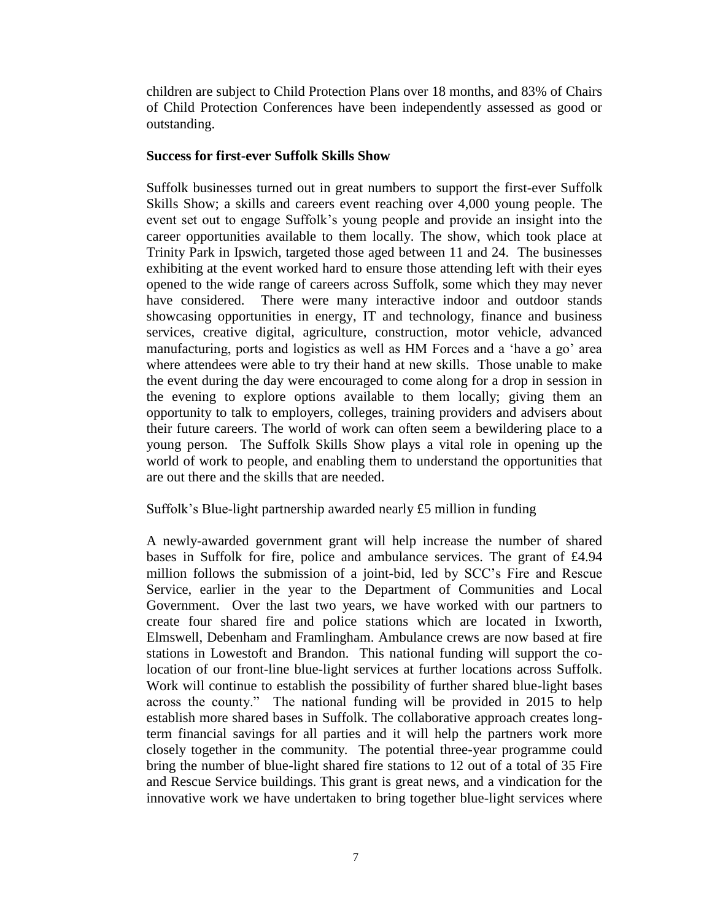children are subject to Child Protection Plans over 18 months, and 83% of Chairs of Child Protection Conferences have been independently assessed as good or outstanding.

## **Success for first-ever Suffolk Skills Show**

Suffolk businesses turned out in great numbers to support the first-ever Suffolk Skills Show; a skills and careers event reaching over 4,000 young people. The event set out to engage Suffolk's young people and provide an insight into the career opportunities available to them locally. The show, which took place at Trinity Park in Ipswich, targeted those aged between 11 and 24. The businesses exhibiting at the event worked hard to ensure those attending left with their eyes opened to the wide range of careers across Suffolk, some which they may never have considered. There were many interactive indoor and outdoor stands showcasing opportunities in energy, IT and technology, finance and business services, creative digital, agriculture, construction, motor vehicle, advanced manufacturing, ports and logistics as well as HM Forces and a 'have a go' area where attendees were able to try their hand at new skills. Those unable to make the event during the day were encouraged to come along for a drop in session in the evening to explore options available to them locally; giving them an opportunity to talk to employers, colleges, training providers and advisers about their future careers. The world of work can often seem a bewildering place to a young person. The Suffolk Skills Show plays a vital role in opening up the world of work to people, and enabling them to understand the opportunities that are out there and the skills that are needed.

## Suffolk's Blue-light partnership awarded nearly £5 million in funding

A newly-awarded government grant will help increase the number of shared bases in Suffolk for fire, police and ambulance services. The grant of £4.94 million follows the submission of a joint-bid, led by SCC's Fire and Rescue Service, earlier in the year to the Department of Communities and Local Government. Over the last two years, we have worked with our partners to create four shared fire and police stations which are located in Ixworth, Elmswell, Debenham and Framlingham. Ambulance crews are now based at fire stations in Lowestoft and Brandon. This national funding will support the colocation of our front-line blue-light services at further locations across Suffolk. Work will continue to establish the possibility of further shared blue-light bases across the county." The national funding will be provided in 2015 to help establish more shared bases in Suffolk. The collaborative approach creates longterm financial savings for all parties and it will help the partners work more closely together in the community. The potential three-year programme could bring the number of blue-light shared fire stations to 12 out of a total of 35 Fire and Rescue Service buildings. This grant is great news, and a vindication for the innovative work we have undertaken to bring together blue-light services where